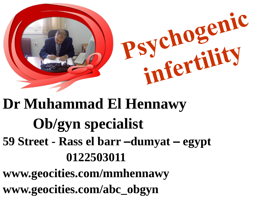

# **Dr Muhammad El Hennawy Ob/gyn specialist 59 Street - Rass el barr –dumyat – egypt 0122503011**

**www.geocities.com/mmhennawy www.geocities.com/abc\_obgyn**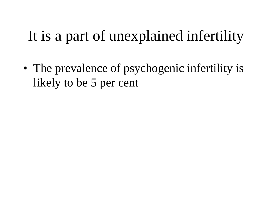### It is a part of unexplained infertility

• The prevalence of psychogenic infertility is likely to be 5 per cent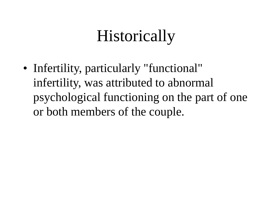# Historically

• Infertility, particularly "functional" infertility, was attributed to abnormal psychological functioning on the part of one or both members of the couple.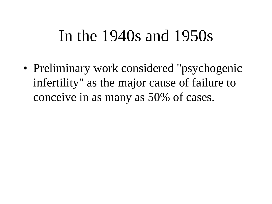#### In the 1940s and 1950s

• Preliminary work considered "psychogenic infertility" as the major cause of failure to conceive in as many as 50% of cases.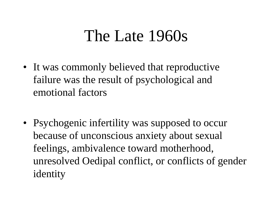#### The Late 1960s

- It was commonly believed that reproductive failure was the result of psychological and emotional factors
- Psychogenic infertility was supposed to occur because of unconscious anxiety about sexual feelings, ambivalence toward motherhood, unresolved Oedipal conflict, or conflicts of gender identity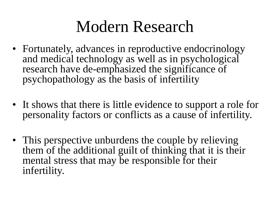## Modern Research

- Fortunately, advances in reproductive endocrinology and medical technology as well as in psychological research have de-emphasized the significance of psychopathology as the basis of infertility
- It shows that there is little evidence to support a role for personality factors or conflicts as a cause of infertility.
- This perspective unburdens the couple by relieving them of the additional guilt of thinking that it is their mental stress that may be responsible for their infertility.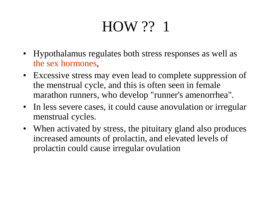## HOW ?? 1

- Hypothalamus regulates both stress responses as well as the sex hormones,
- Excessive stress may even lead to complete suppression of the menstrual cycle, and this is often seen in female marathon runners, who develop "runner's amenorrhea".
- In less severe cases, it could cause anovulation or irregular menstrual cycles.
- When activated by stress, the pituitary gland also produces increased amounts of prolactin, and elevated levels of prolactin could cause irregular ovulation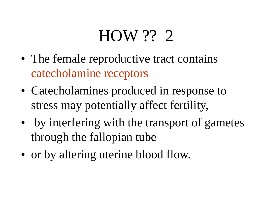## HOW ?? 2

- The female reproductive tract contains catecholamine receptors
- Catecholamines produced in response to stress may potentially affect fertility,
- by interfering with the transport of gametes through the fallopian tube
- or by altering uterine blood flow.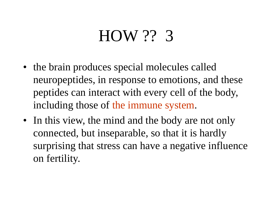## HOW ?? 3

- the brain produces special molecules called neuropeptides, in response to emotions, and these peptides can interact with every cell of the body, including those of the immune system.
- In this view, the mind and the body are not only connected, but inseparable, so that it is hardly surprising that stress can have a negative influence on fertility.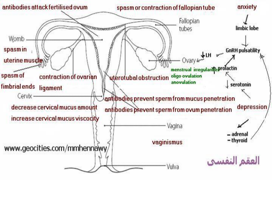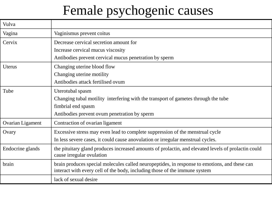#### Female psychogenic causes

| Vulva            |                                                                                                                                                                             |
|------------------|-----------------------------------------------------------------------------------------------------------------------------------------------------------------------------|
| Vagina           | Vaginismus prevent coitus                                                                                                                                                   |
| Cervix           | Decrease cervical secretion amount for                                                                                                                                      |
|                  | Increase cervical mucus viscosity                                                                                                                                           |
|                  | Antibodies prevent cervical mucus penetration by sperm                                                                                                                      |
| Uterus           | Changing uterine blood flow                                                                                                                                                 |
|                  | Changing uterine motility                                                                                                                                                   |
|                  | Antibodies attack fertilised ovum                                                                                                                                           |
| Tube             | Uterotubal spasm                                                                                                                                                            |
|                  | Changing tubal motility interfering with the transport of gametes through the tube                                                                                          |
|                  | fimbrial end spasm                                                                                                                                                          |
|                  | Antibodies prevent ovum penetration by sperm                                                                                                                                |
| Ovarian Ligament | Contraction of ovarian ligament                                                                                                                                             |
| Ovary            | Excessive stress may even lead to complete suppression of the menstrual cycle                                                                                               |
|                  | In less severe cases, it could cause anovulation or irregular menstrual cycles.                                                                                             |
| Endocrine glands | the pituitary gland produces increased amounts of prolactin, and elevated levels of prolactin could<br>cause irregular ovulation                                            |
| brain            | brain produces special molecules called neuropeptides, in response to emotions, and these can<br>interact with every cell of the body, including those of the immune system |
|                  | lack of sexual desire                                                                                                                                                       |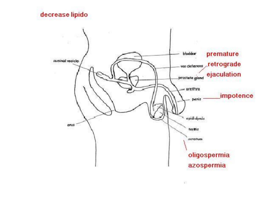#### decrease lipido

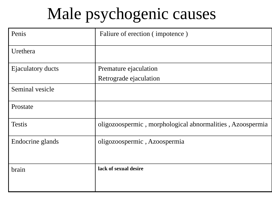## Male psychogenic causes

| Penis                    | Faliure of erection (impotence)                           |
|--------------------------|-----------------------------------------------------------|
| Urethera                 |                                                           |
| <b>Ejaculatory ducts</b> | Premature ejaculation                                     |
|                          | Retrograde ejaculation                                    |
| Seminal vesicle          |                                                           |
| Prostate                 |                                                           |
| <b>Testis</b>            | oligozoospermic, morphological abnormalities, Azoospermia |
| Endocrine glands         | oligozoospermic, Azoospermia                              |
| brain                    | lack of sexual desire                                     |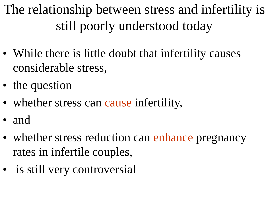The relationship between stress and infertility is still poorly understood today

- While there is little doubt that infertility causes considerable stress,
- the question
- whether stress can cause infertility,
- and
- whether stress reduction can enhance pregnancy rates in infertile couples,
- is still very controversial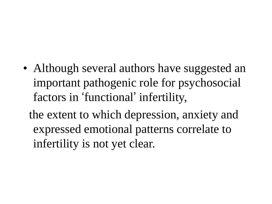• Although several authors have suggested an important pathogenic role for psychosocial factors in 'functional' infertility,

the extent to which depression, anxiety and expressed emotional patterns correlate to infertility is not yet clear.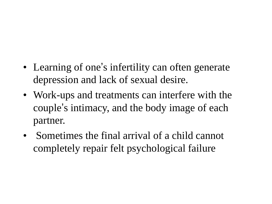- Learning of one's infertility can often generate depression and lack of sexual desire.
- Work-ups and treatments can interfere with the couple's intimacy, and the body image of each partner.
- Sometimes the final arrival of a child cannot completely repair felt psychological failure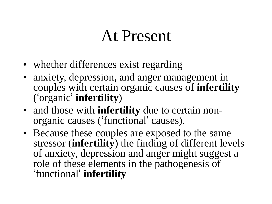### At Present

- whether differences exist regarding
- anxiety, depression, and anger management in couples with certain organic causes of **infertility** ('organic' **infertility**)
- and those with **infertility** due to certain nonorganic causes ('functional' causes).
- Because these couples are exposed to the same stressor (**infertility**) the finding of different levels of anxiety, depression and anger might suggest a role of these elements in the pathogenesis of 'functional' **infertility**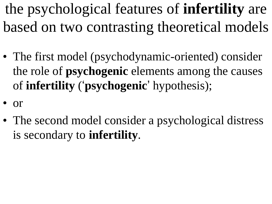the psychological features of **infertility** are based on two contrasting theoretical models

- The first model (psychodynamic-oriented) consider the role of **psychogenic** elements among the causes of **infertility** ('**psychogenic**' hypothesis);
- or
- The second model consider a psychological distress is secondary to **infertility**.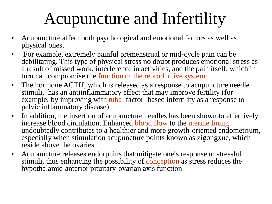# Acupuncture and Infertility

- Acupuncture affect both psychological and emotional factors as well as physical ones.
- For example, extremely painful premenstrual or mid-cycle pain can be debilitating. This type of physical stress no doubt produces emotional stress as a result of missed work, interference in activities, and the pain itself, which in turn can compromise the function of the reproductive system.
- The hormone ACTH, which is released as a response to acupuncture needle stimuli, has an antiinflammatory effect that may improve fertility (for example, by improving with tubal factor-based infertility as a response to pelvic inflammatory disease).
- In addition, the insertion of acupuncture needles has been shown to effectively increase blood circulation. Enhanced blood flow to the uterine lining undoubtedly contributes to a healthier and more growth-oriented endometrium, especially when stimulation acupuncture points known as zigongxue, which reside above the ovaries.
- Acupuncture releases endorphins that mitigate one's response to stressful stimuli, thus enhancing the possibility of conception as stress reduces the hypothalamic-anterior pituitary-ovarian axis function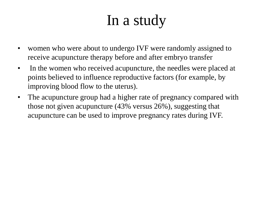### In a study

- women who were about to undergo IVF were randomly assigned to receive acupuncture therapy before and after embryo transfer
- In the women who received acupuncture, the needles were placed at points believed to influence reproductive factors (for example, by improving blood flow to the uterus).
- The acupuncture group had a higher rate of pregnancy compared with those not given acupuncture (43% versus 26%), suggesting that acupuncture can be used to improve pregnancy rates during IVF.